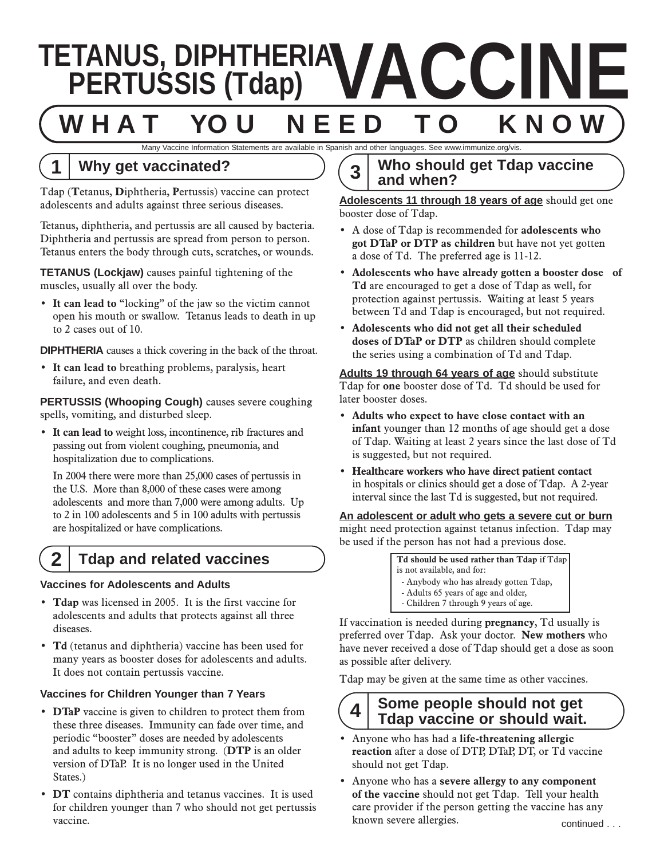# **VACCINE<br>
TETANUS, DIPHTHERIA VACCINE**<br>
WHAT YOU NEED TO KNOW **W H A T YO U N E E D T O K N O W**

Many Vaccine Information Statements are available in Spanish and other languages. See www.immunize.org/vis.

# **1 Why get vaccinated?**

Tdap (**T**etanus, **D**iphtheria, **P**ertussis) vaccine can protect adolescents and adults against three serious diseases.

Tetanus, diphtheria, and pertussis are all caused by bacteria. Diphtheria and pertussis are spread from person to person. Tetanus enters the body through cuts, scratches, or wounds.

**TETANUS (Lockjaw)** causes painful tightening of the muscles, usually all over the body.

• **It can lead to** "locking" of the jaw so the victim cannot open his mouth or swallow. Tetanus leads to death in up to 2 cases out of 10.

**DIPHTHERIA** causes a thick covering in the back of the throat.

• **It can lead to** breathing problems, paralysis, heart failure, and even death.

**PERTUSSIS (Whooping Cough)** causes severe coughing spells, vomiting, and disturbed sleep.

• **It can lead to** weight loss, incontinence, rib fractures and passing out from violent coughing, pneumonia, and hospitalization due to complications.

In 2004 there were more than 25,000 cases of pertussis in the U.S. More than 8,000 of these cases were among adolescents and more than 7,000 were among adults. Up to 2 in 100 adolescents and 5 in 100 adults with pertussis are hospitalized or have complications.

# **2 Tdap and related vaccines**

#### **Vaccines for Adolescents and Adults**

- **Tdap** was licensed in 2005. It is the first vaccine for adolescents and adults that protects against all three diseases.
- **Td** (tetanus and diphtheria) vaccine has been used for many years as booster doses for adolescents and adults. It does not contain pertussis vaccine.

#### **Vaccines for Children Younger than 7 Years**

- **DTaP** vaccine is given to children to protect them from these three diseases. Immunity can fade over time, and periodic "booster" doses are needed by adolescents and adults to keep immunity strong. (**DTP** is an older version of DTaP. It is no longer used in the United States.)
- vaccine. Continued a severe allergies who was evere allergies. • **DT** contains diphtheria and tetanus vaccines. It is used for children younger than 7 who should not get pertussis

# **3 Who should get Tdap vaccine and when?**

**Adolescents 11 through 18 years of age** should get one booster dose of Tdap.

- A dose of Tdap is recommended for **adolescents who got DTaP or DTP as children** but have not yet gotten a dose of Td. The preferred age is 11-12.
- **Adolescents who have already gotten a booster dose of Td** are encouraged to get a dose of Tdap as well, for protection against pertussis. Waiting at least 5 years between Td and Tdap is encouraged, but not required.
- **Adolescents who did not get all their scheduled doses of DTaP or DTP** as children should complete the series using a combination of Td and Tdap.

**Adults 19 through 64 years of age** should substitute Tdap for **one** booster dose of Td. Td should be used for later booster doses.

- **Adults who expect to have close contact with an infant** younger than 12 months of age should get a dose of Tdap. Waiting at least 2 years since the last dose of Td is suggested, but not required.
- **Healthcare workers who have direct patient contact** in hospitals or clinics should get a dose of Tdap. A 2-year interval since the last Td is suggested, but not required.

**An adolescent or adult who gets a severe cut or burn** might need protection against tetanus infection. Tdap may be used if the person has not had a previous dose.

> **Td should be used rather than Tdap** if Tdap is not available, and for: - Anybody who has already gotten Tdap, - Adults 65 years of age and older,

- Children 7 through 9 years of age.

If vaccination is needed during **pregnancy**, Td usually is preferred over Tdap. Ask your doctor. **New mothers** who have never received a dose of Tdap should get a dose as soon as possible after delivery.

Tdap may be given at the same time as other vaccines.

# **4 Some people should not get Tdap vaccine or should wait.**

- Anyone who has had a **life-threatening allergic reaction** after a dose of DTP, DTaP, DT, or Td vaccine should not get Tdap.
- Anyone who has a **severe allergy to any component of the vaccine** should not get Tdap. Tell your health care provider if the person getting the vaccine has any